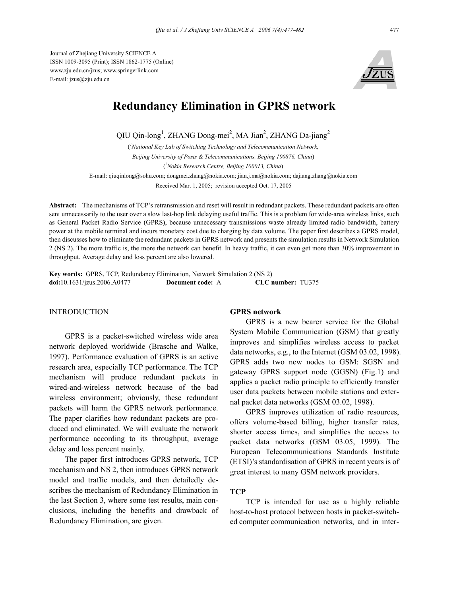Journal of Zhejiang University SCIENCE A ISSN 1009-3095 (Print); ISSN 1862-1775 (Online) www.zju.edu.cn/jzus; www.springerlink.com E-mail: jzus@zju.edu.cn



# **Redundancy Elimination in GPRS network**

QIU Qin-long<sup>1</sup>, ZHANG Dong-mei<sup>2</sup>, MA Jian<sup>2</sup>, ZHANG Da-jiang<sup>2</sup>

( *1 National Key Lab of Switching Technology and Telecommunication Network, Beijing University of Posts & Telecommunications, Beijing 100876, China*) ( *2 Nokia Research Centre, Beijing 100013, China*)

E-mail: qiuqinlong@sohu.com; dongmei.zhang@nokia.com; jian.j.ma@nokia.com; dajiang.zhang@nokia.com Received Mar. 1, 2005; revision accepted Oct. 17, 2005

**Abstract:** The mechanisms of TCP's retransmission and reset will result in redundant packets. These redundant packets are often sent unnecessarily to the user over a slow last-hop link delaying useful traffic. This is a problem for wide-area wireless links, such as General Packet Radio Service (GPRS), because unnecessary transmissions waste already limited radio bandwidth, battery power at the mobile terminal and incurs monetary cost due to charging by data volume. The paper first describes a GPRS model, then discusses how to eliminate the redundant packets in GPRS network and presents the simulation results in Network Simulation 2 (NS 2). The more traffic is, the more the network can benefit. In heavy traffic, it can even get more than 30% improvement in throughput. Average delay and loss percent are also lowered.

**Key words:** GPRS, TCP, Redundancy Elimination, Network Simulation 2 (NS 2) **doi:**10.1631/jzus.2006.A0477 **Document code:** A **CLC number:** TU375

#### INTRODUCTION

GPRS is a packet-switched wireless wide area network deployed worldwide (Brasche and Walke, 1997). Performance evaluation of GPRS is an active research area, especially TCP performance. The TCP mechanism will produce redundant packets in wired-and-wireless network because of the bad wireless environment; obviously, these redundant packets will harm the GPRS network performance. The paper clarifies how redundant packets are produced and eliminated. We will evaluate the network performance according to its throughput, average delay and loss percent mainly.

The paper first introduces GPRS network, TCP mechanism and NS 2, then introduces GPRS network model and traffic models, and then detailedly describes the mechanism of Redundancy Elimination in the last Section 3, where some test results, main conclusions, including the benefits and drawback of Redundancy Elimination, are given.

# **GPRS network**

GPRS is a new bearer service for the Global System Mobile Communication (GSM) that greatly improves and simplifies wireless access to packet data networks, e.g., to the Internet (GSM 03.02, 1998). GPRS adds two new nodes to GSM: SGSN and gateway GPRS support node (GGSN) (Fig.1) and applies a packet radio principle to efficiently transfer user data packets between mobile stations and external packet data networks (GSM 03.02, 1998).

GPRS improves utilization of radio resources, offers volume-based billing, higher transfer rates, shorter access times, and simplifies the access to packet data networks (GSM 03.05, 1999). The European Telecommunications Standards Institute (ETSI)'s standardisation of GPRS in recent years is of great interest to many GSM network providers.

## **TCP**

TCP is intended for use as a highly reliable host-to-host protocol between hosts in packet-switched computer communication networks, and in inter-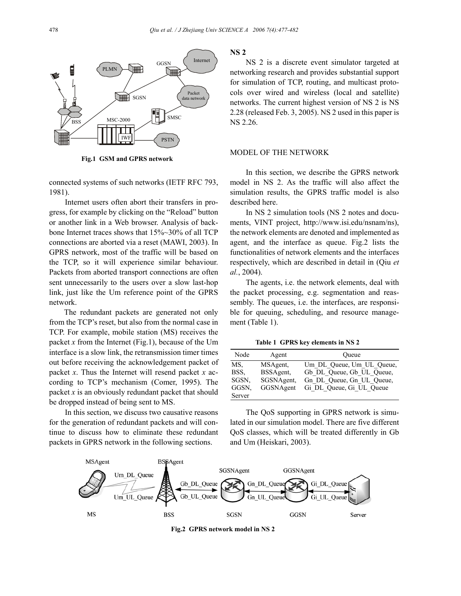

**Fig.1 GSM and GPRS network** 

connected systems of such networks (IETF RFC 793, 1981).

Internet users often abort their transfers in progress, for example by clicking on the "Reload" button or another link in a Web browser. Analysis of backbone Internet traces shows that 15%~30% of all TCP connections are aborted via a reset (MAWI, 2003). In GPRS network, most of the traffic will be based on the TCP, so it will experience similar behaviour. Packets from aborted transport connections are often sent unnecessarily to the users over a slow last-hop link, just like the Um reference point of the GPRS network.

The redundant packets are generated not only from the TCP's reset, but also from the normal case in TCP. For example, mobile station (MS) receives the packet *x* from the Internet (Fig.1), because of the Um interface is a slow link, the retransmission timer times out before receiving the acknowledgement packet of packet *x*. Thus the Internet will resend packet *x* according to TCP's mechanism (Comer, 1995). The packet *x* is an obviously redundant packet that should be dropped instead of being sent to MS.

In this section, we discuss two causative reasons for the generation of redundant packets and will continue to discuss how to eliminate these redundant packets in GPRS network in the following sections.

**NS 2** 

NS 2 is a discrete event simulator targeted at networking research and provides substantial support for simulation of TCP, routing, and multicast protocols over wired and wireless (local and satellite) networks. The current highest version of NS 2 is NS 2.28 (released Feb. 3, 2005). NS 2 used in this paper is NS 2.26.

# MODEL OF THE NETWORK

In this section, we describe the GPRS network model in NS 2. As the traffic will also affect the simulation results, the GPRS traffic model is also described here.

In NS 2 simulation tools (NS 2 notes and documents, VINT project, http://www.isi.edu/nsnam/ns), the network elements are denoted and implemented as agent, and the interface as queue. Fig.2 lists the functionalities of network elements and the interfaces respectively, which are described in detail in (Qiu *et al.*, 2004).

The agents, i.e. the network elements, deal with the packet processing, e.g. segmentation and reassembly. The queues, i.e. the interfaces, are responsible for queuing, scheduling, and resource management (Table 1).

**Table 1 GPRS key elements in NS 2**

| Node   | Agent      | Oueue                     |
|--------|------------|---------------------------|
| MS.    | MSAgent,   | Um DL Queue, Um UL Queue, |
| BSS.   | BSSAgent,  | Gb DL Queue, Gb UL Queue, |
| SGSN.  | SGSNAgent, | Gn DL Queue, Gn UL Queue, |
| GGSN.  | GGSNAgent  | Gi DL Queue, Gi UL Queue  |
| Server |            |                           |

The QoS supporting in GPRS network is simulated in our simulation model. There are five different QoS classes, which will be treated differently in Gb and Um (Heiskari, 2003).



**Fig.2 GPRS network model in NS 2**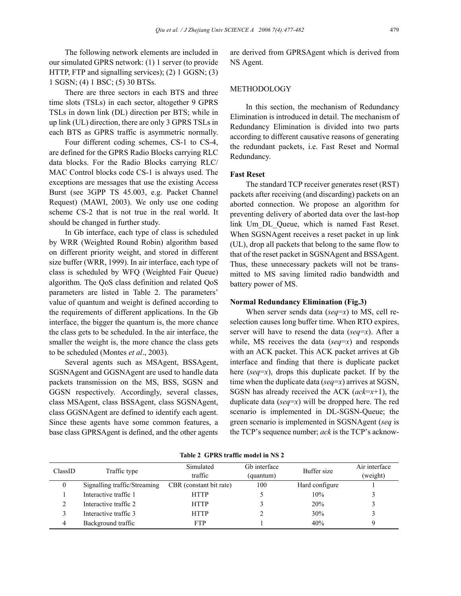The following network elements are included in our simulated GPRS network: (1) 1 server (to provide HTTP, FTP and signalling services); (2) 1 GGSN; (3) 1 SGSN; (4) 1 BSC; (5) 30 BTSs.

There are three sectors in each BTS and three time slots (TSLs) in each sector, altogether 9 GPRS TSLs in down link (DL) direction per BTS; while in up link (UL) direction, there are only 3 GPRS TSLs in each BTS as GPRS traffic is asymmetric normally.

Four different coding schemes, CS-1 to CS-4, are defined for the GPRS Radio Blocks carrying RLC data blocks. For the Radio Blocks carrying RLC/ MAC Control blocks code CS-1 is always used. The exceptions are messages that use the existing Access Burst (see 3GPP TS 45.003, e.g. Packet Channel Request) (MAWI, 2003). We only use one coding scheme CS-2 that is not true in the real world. It should be changed in further study.

In Gb interface, each type of class is scheduled by WRR (Weighted Round Robin) algorithm based on different priority weight, and stored in different size buffer (WRR, 1999). In air interface, each type of class is scheduled by WFQ (Weighted Fair Queue) algorithm. The QoS class definition and related QoS parameters are listed in Table 2. The parameters' value of quantum and weight is defined according to the requirements of different applications. In the Gb interface, the bigger the quantum is, the more chance the class gets to be scheduled. In the air interface, the smaller the weight is, the more chance the class gets to be scheduled (Montes *et al*., 2003).

Several agents such as MSAgent, BSSAgent, SGSNAgent and GGSNAgent are used to handle data packets transmission on the MS, BSS, SGSN and GGSN respectively. Accordingly, several classes, class MSAgent, class BSSAgent, class SGSNAgent, class GGSNAgent are defined to identify each agent. Since these agents have some common features, a base class GPRSAgent is defined, and the other agents

are derived from GPRSAgent which is derived from NS Agent.

## **METHODOLOGY**

In this section, the mechanism of Redundancy Elimination is introduced in detail. The mechanism of Redundancy Elimination is divided into two parts according to different causative reasons of generating the redundant packets, i.e. Fast Reset and Normal Redundancy.

## **Fast Reset**

The standard TCP receiver generates reset (RST) packets after receiving (and discarding) packets on an aborted connection. We propose an algorithm for preventing delivery of aborted data over the last-hop link Um\_DL\_Queue, which is named Fast Reset. When SGSNAgent receives a reset packet in up link (UL), drop all packets that belong to the same flow to that of the reset packet in SGSNAgent and BSSAgent. Thus, these unnecessary packets will not be transmitted to MS saving limited radio bandwidth and battery power of MS.

## **Normal Redundancy Elimination (Fig.3)**

When server sends data (*seq*=*x*) to MS, cell reselection causes long buffer time. When RTO expires, server will have to resend the data (*seq*=*x*). After a while, MS receives the data (*seq*=*x*) and responds with an ACK packet. This ACK packet arrives at Gb interface and finding that there is duplicate packet here (*seq*=*x*), drops this duplicate packet. If by the time when the duplicate data (*seq*=*x*) arrives at SGSN, SGSN has already received the ACK (*ack*=*x*+1), the duplicate data (*seq*=*x*) will be dropped here. The red scenario is implemented in DL-SGSN-Queue; the green scenario is implemented in SGSNAgent (*seq* is the TCP's sequence number; *ack* is the TCP's acknow-

| ClassID      | Traffic type                 | Simulated<br>traffic    | G <sub>b</sub> interface<br>(quantum) | Buffer size    | Air interface<br>(weight) |
|--------------|------------------------------|-------------------------|---------------------------------------|----------------|---------------------------|
| $\mathbf{0}$ | Signalling traffic/Streaming | CBR (constant bit rate) | 100                                   | Hard configure |                           |
|              | Interactive traffic 1        | <b>HTTP</b>             |                                       | 10%            |                           |
|              | Interactive traffic 2        | <b>HTTP</b>             |                                       | 20%            |                           |
|              | Interactive traffic 3        | <b>HTTP</b>             |                                       | 30%            |                           |
| 4            | Background traffic           | <b>FTP</b>              |                                       | 40%            |                           |

**Table 2 GPRS traffic model in NS 2**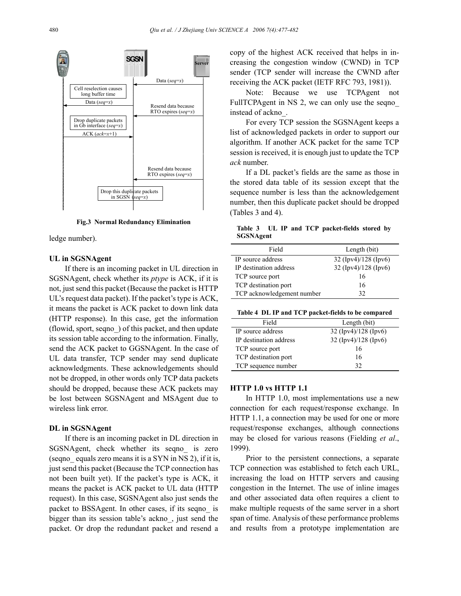

**Fig.3 Normal Redundancy Elimination**

ledge number).

## **UL in SGSNAgent**

If there is an incoming packet in UL direction in SGSNAgent, check whether its *ptype* is ACK, if it is not, just send this packet (Because the packet is HTTP UL's request data packet). If the packet's type is ACK, it means the packet is ACK packet to down link data (HTTP response). In this case, get the information (flowid, sport, seqno\_) of this packet, and then update its session table according to the information. Finally, send the ACK packet to GGSNAgent. In the case of UL data transfer, TCP sender may send duplicate acknowledgments. These acknowledgements should not be dropped, in other words only TCP data packets should be dropped, because these ACK packets may be lost between SGSNAgent and MSAgent due to wireless link error.

### **DL in SGSNAgent**

If there is an incoming packet in DL direction in SGSNAgent, check whether its seqno\_ is zero (seqno equals zero means it is a SYN in NS 2), if it is, just send this packet (Because the TCP connection has not been built yet). If the packet's type is ACK, it means the packet is ACK packet to UL data (HTTP request). In this case, SGSNAgent also just sends the packet to BSSAgent. In other cases, if its seqno\_ is bigger than its session table's ackno\_, just send the packet. Or drop the redundant packet and resend a

copy of the highest ACK received that helps in increasing the congestion window (CWND) in TCP sender (TCP sender will increase the CWND after receiving the ACK packet (IETF RFC 793, 1981)).

Note: Because we use TCPAgent not FullTCPAgent in NS 2, we can only use the seqno instead of ackno\_.

For every TCP session the SGSNAgent keeps a list of acknowledged packets in order to support our algorithm. If another ACK packet for the same TCP session is received, it is enough just to update the TCP *ack* number.

If a DL packet's fields are the same as those in the stored data table of its session except that the sequence number is less than the acknowledgement number, then this duplicate packet should be dropped (Tables 3 and 4).

**Table 3 UL IP and TCP packet-fields stored by SGSNAgent** 

| Field                      | Length (bit)           |
|----------------------------|------------------------|
| IP source address          | 32 (Ipv4)/128 (Ipv6)   |
| IP destination address     | $32$ (Ipv4)/128 (Ipv6) |
| TCP source port            | 16                     |
| TCP destination port       | 16                     |
| TCP acknowledgement number | 32                     |

|  | Table 4 DL IP and TCP packet-fields to be compared |
|--|----------------------------------------------------|
|--|----------------------------------------------------|

| Field                  | Length (bit)         |  |
|------------------------|----------------------|--|
| IP source address      | 32 (Ipv4)/128 (Ipv6) |  |
| IP destination address | 32 (Ipv4)/128 (Ipv6) |  |
| TCP source port        | 16                   |  |
| TCP destination port   | 16                   |  |
| TCP sequence number    | 32                   |  |

#### **HTTP 1.0 vs HTTP 1.1**

In HTTP 1.0, most implementations use a new connection for each request/response exchange. In HTTP 1.1, a connection may be used for one or more request/response exchanges, although connections may be closed for various reasons (Fielding *et al*., 1999).

Prior to the persistent connections, a separate TCP connection was established to fetch each URL, increasing the load on HTTP servers and causing congestion in the Internet. The use of inline images and other associated data often requires a client to make multiple requests of the same server in a short span of time. Analysis of these performance problems and results from a prototype implementation are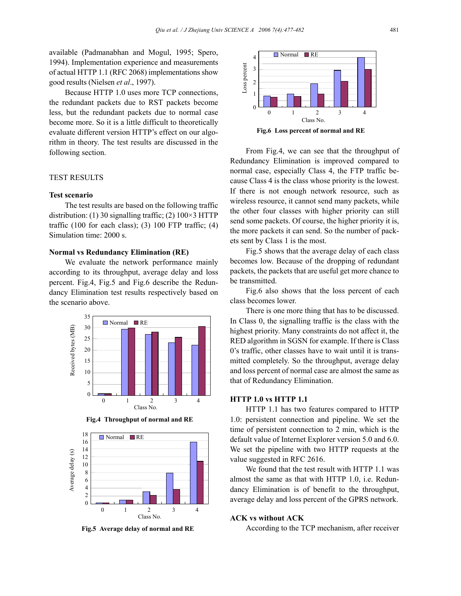available (Padmanabhan and Mogul, 1995; Spero, 1994). Implementation experience and measurements of actual HTTP 1.1 (RFC 2068) implementations show good results (Nielsen *et al*., 1997).

Because HTTP 1.0 uses more TCP connections, the redundant packets due to RST packets become less, but the redundant packets due to normal case become more. So it is a little difficult to theoretically evaluate different version HTTP's effect on our algorithm in theory. The test results are discussed in the following section.

## TEST RESULTS

# **Test scenario**

The test results are based on the following traffic distribution: (1) 30 signalling traffic; (2)  $100 \times 3$  HTTP traffic  $(100 \text{ for each class})$ ;  $(3)$  100 FTP traffic;  $(4)$ Simulation time: 2000 s.

# **Normal vs Redundancy Elimination (RE)**

We evaluate the network performance mainly according to its throughput, average delay and loss percent. Fig.4, Fig.5 and Fig.6 describe the Redundancy Elimination test results respectively based on the scenario above.



**Fig.4 Throughput of normal and RE** 



**Fig.5 Average delay of normal and RE** 



**Fig.6 Loss percent of normal and RE** 

From Fig.4, we can see that the throughput of Redundancy Elimination is improved compared to normal case, especially Class 4, the FTP traffic because Class 4 is the class whose priority is the lowest. If there is not enough network resource, such as wireless resource, it cannot send many packets, while the other four classes with higher priority can still send some packets. Of course, the higher priority it is, the more packets it can send. So the number of packets sent by Class 1 is the most.

Fig.5 shows that the average delay of each class becomes low. Because of the dropping of redundant packets, the packets that are useful get more chance to be transmitted.

Fig.6 also shows that the loss percent of each class becomes lower.

There is one more thing that has to be discussed. In Class 0, the signalling traffic is the class with the highest priority. Many constraints do not affect it, the RED algorithm in SGSN for example. If there is Class 0's traffic, other classes have to wait until it is transmitted completely. So the throughput, average delay and loss percent of normal case are almost the same as that of Redundancy Elimination.

#### **HTTP 1.0 vs HTTP 1.1**

HTTP 1.1 has two features compared to HTTP 1.0: persistent connection and pipeline. We set the time of persistent connection to 2 min, which is the default value of Internet Explorer version 5.0 and 6.0. We set the pipeline with two HTTP requests at the value suggested in RFC 2616.

We found that the test result with HTTP 1.1 was almost the same as that with HTTP 1.0, i.e. Redundancy Elimination is of benefit to the throughput, average delay and loss percent of the GPRS network.

#### **ACK vs without ACK**

According to the TCP mechanism, after receiver